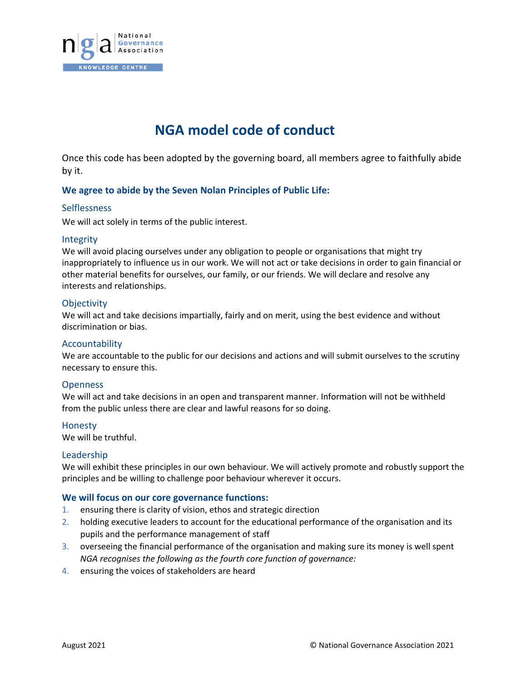

# **NGA model code of conduct**

Once this code has been adopted by the governing board, all members agree to faithfully abide by it.

## **We agree to abide by the Seven Nolan Principles of Public Life:**

## **Selflessness**

We will act solely in terms of the public interest.

#### Integrity

We will avoid placing ourselves under any obligation to people or organisations that might try inappropriately to influence us in our work. We will not act or take decisions in order to gain financial or other material benefits for ourselves, our family, or our friends. We will declare and resolve any interests and relationships.

## **Objectivity**

We will act and take decisions impartially, fairly and on merit, using the best evidence and without discrimination or bias.

## Accountability

We are accountable to the public for our decisions and actions and will submit ourselves to the scrutiny necessary to ensure this.

#### **Openness**

We will act and take decisions in an open and transparent manner. Information will not be withheld from the public unless there are clear and lawful reasons for so doing.

#### Honesty

We will be truthful.

#### Leadership

We will exhibit these principles in our own behaviour. We will actively promote and robustly support the principles and be willing to challenge poor behaviour wherever it occurs.

#### **We will focus on our core governance functions:**

- 1. ensuring there is clarity of vision, ethos and strategic direction
- 2. holding executive leaders to account for the educational performance of the organisation and its pupils and the performance management of staff
- 3. overseeing the financial performance of the organisation and making sure its money is well spent *NGA recognises the following as the fourth core function of governance:*
- 4. ensuring the voices of stakeholders are heard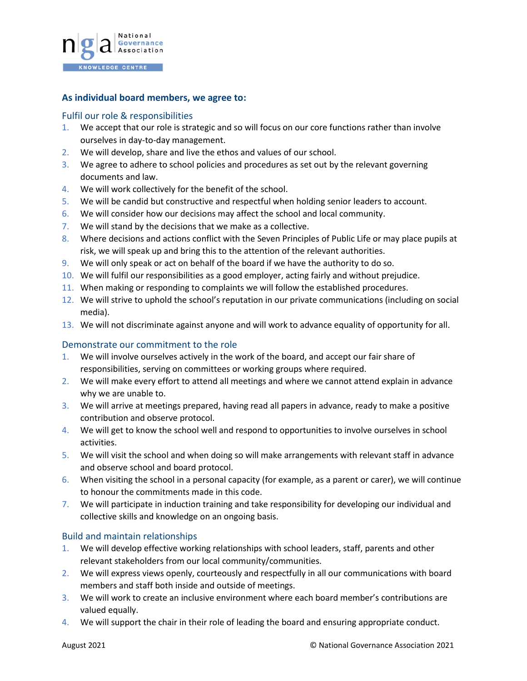

# **As individual board members, we agree to:**

# Fulfil our role & responsibilities

- 1. We accept that our role is strategic and so will focus on our core functions rather than involve ourselves in day-to-day management.
- 2. We will develop, share and live the ethos and values of our school.
- 3. We agree to adhere to school policies and procedures as set out by the relevant governing documents and law.
- 4. We will work collectively for the benefit of the school.
- 5. We will be candid but constructive and respectful when holding senior leaders to account.
- 6. We will consider how our decisions may affect the school and local community.
- 7. We will stand by the decisions that we make as a collective.
- 8. Where decisions and actions conflict with the Seven Principles of Public Life or may place pupils at risk, we will speak up and bring this to the attention of the relevant authorities.
- 9. We will only speak or act on behalf of the board if we have the authority to do so.
- 10. We will fulfil our responsibilities as a good employer, acting fairly and without prejudice.
- 11. When making or responding to complaints we will follow the established procedures.
- 12. We will strive to uphold the school's reputation in our private communications (including on social media).
- 13. We will not discriminate against anyone and will work to advance equality of opportunity for all.

## Demonstrate our commitment to the role

- 1. We will involve ourselves actively in the work of the board, and accept our fair share of responsibilities, serving on committees or working groups where required.
- 2. We will make every effort to attend all meetings and where we cannot attend explain in advance why we are unable to.
- 3. We will arrive at meetings prepared, having read all papers in advance, ready to make a positive contribution and observe protocol.
- 4. We will get to know the school well and respond to opportunities to involve ourselves in school activities.
- 5. We will visit the school and when doing so will make arrangements with relevant staff in advance and observe school and board protocol.
- 6. When visiting the school in a personal capacity (for example, as a parent or carer), we will continue to honour the commitments made in this code.
- 7. We will participate in induction training and take responsibility for developing our individual and collective skills and knowledge on an ongoing basis.

## Build and maintain relationships

- 1. We will develop effective working relationships with school leaders, staff, parents and other relevant stakeholders from our local community/communities.
- 2. We will express views openly, courteously and respectfully in all our communications with board members and staff both inside and outside of meetings.
- 3. We will work to create an inclusive environment where each board member's contributions are valued equally.
- 4. We will support the chair in their role of leading the board and ensuring appropriate conduct.